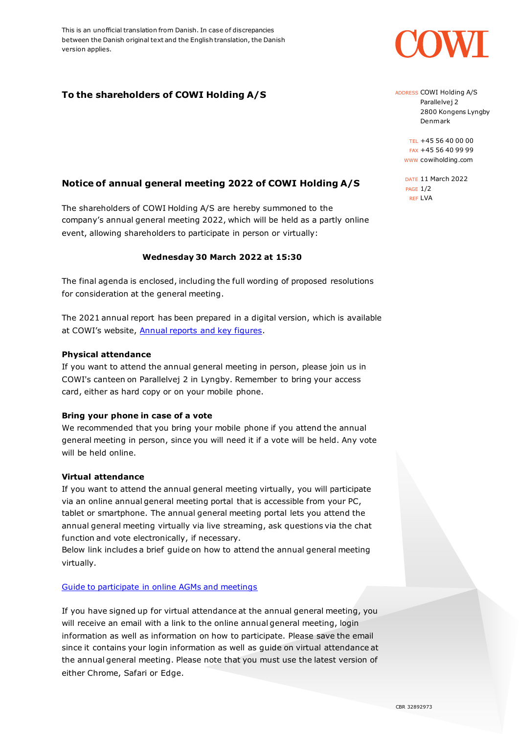This is an unofficial translation from Danish. In case of discrepancies between the Danish original text and the English translation, the Danish version applies.

# **To the shareholders of COWI Holding A/S**

## **Notice of annual general meeting 2022 of COWI Holding A/S**

The shareholders of COWI Holding A/S are hereby summoned to the company's annual general meeting 2022, which will be held as a partly online event, allowing shareholders to participate in person or virtually:

### **Wednesday 30 March 2022 at 15:30**

The final agenda is enclosed, including the full wording of proposed resolutions for consideration at the general meeting.

The 2021 annual report has been prepared in a digital version, which is available at COWI's website, [Annual reports and key figures.](https://www.cowi.com/about/annual-reports)

#### **Physical attendance**

If you want to attend the annual general meeting in person, please join us in COWI's canteen on Parallelvej 2 in Lyngby. Remember to bring your access card, either as hard copy or on your mobile phone.

#### **Bring your phone in case of a vote**

We recommended that you bring your mobile phone if you attend the annual general meeting in person, since you will need it if a vote will be held. Any vote will be held online.

#### **Virtual attendance**

If you want to attend the annual general meeting virtually, you will participate via an online annual general meeting portal that is accessible from your PC, tablet or smartphone. The annual general meeting portal lets you attend the annual general meeting virtually via live streaming, ask questions via the chat function and vote electronically, if necessary.

Below link includes a brief guide on how to attend the annual general meeting virtually.

#### [Guide to participate in online AGMs and meetings](https://www.computershare.com/dk/Online-AGM-User-Guide)

If you have signed up for virtual attendance at the annual general meeting, you will receive an email with a link to the online annual general meeting, login information as well as information on how to participate. Please save the email since it contains your login information as well as guide on virtual attendance at the annual general meeting. Please note that you must use the latest version of either Chrome, Safari or Edge.



ADDRESS COWI Holding A/S Parallelvej 2 2800 Kongens Lyngby Denmark

TEL +45 56 40 00 00 FAX +45 56 40 99 99 WWW cowiholding.com

DATE 11 March 2022 PAGE 1/2 REF LVA